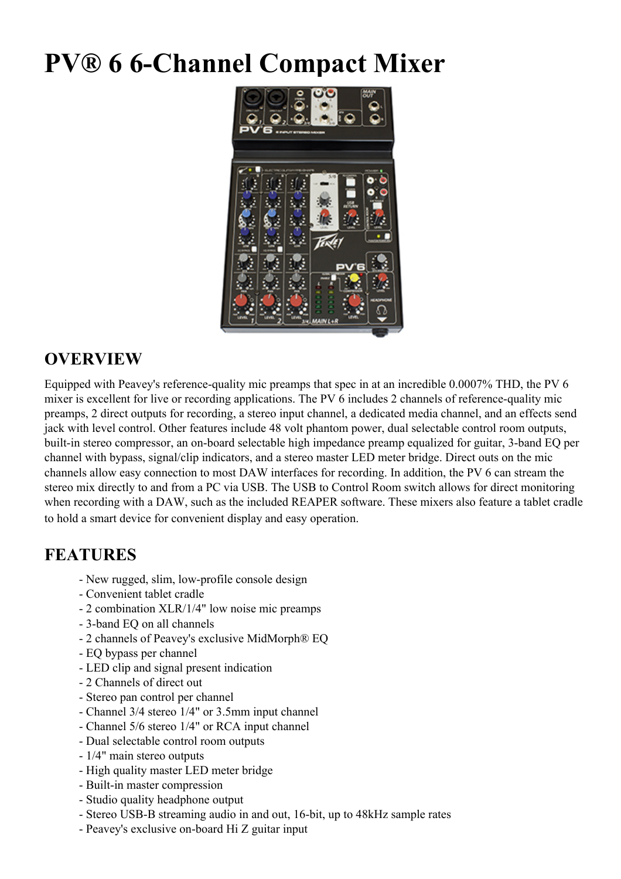## **PV® 6 6-Channel Compact Mixer**



## **OVERVIEW**

Equipped with Peavey's reference-quality mic preamps that spec in at an incredible 0.0007% THD, the PV 6 mixer is excellent for live or recording applications. The PV 6 includes 2 channels of reference-quality mic preamps, 2 direct outputs for recording, a stereo input channel, a dedicated media channel, and an effects send jack with level control. Other features include 48 volt phantom power, dual selectable control room outputs, built-in stereo compressor, an on-board selectable high impedance preamp equalized for guitar, 3-band EQ per channel with bypass, signal/clip indicators, and a stereo master LED meter bridge. Direct outs on the mic channels allow easy connection to most DAW interfaces for recording. In addition, the PV 6 can stream the stereo mix directly to and from a PC via USB. The USB to Control Room switch allows for direct monitoring when recording with a DAW, such as the included REAPER software. These mixers also feature a tablet cradle to hold a smart device for convenient display and easy operation.

## **FEATURES**

- New rugged, slim, low-profile console design
- Convenient tablet cradle
- 2 combination XLR/1/4" low noise mic preamps
- 3-band EQ on all channels
- 2 channels of Peavey's exclusive MidMorph® EQ
- EQ bypass per channel
- LED clip and signal present indication
- 2 Channels of direct out
- Stereo pan control per channel
- Channel 3/4 stereo 1/4" or 3.5mm input channel
- Channel 5/6 stereo 1/4" or RCA input channel
- Dual selectable control room outputs
- 1/4" main stereo outputs
- High quality master LED meter bridge
- Built-in master compression
- Studio quality headphone output
- Stereo USB-B streaming audio in and out, 16-bit, up to 48kHz sample rates
- Peavey's exclusive on-board Hi Z guitar input